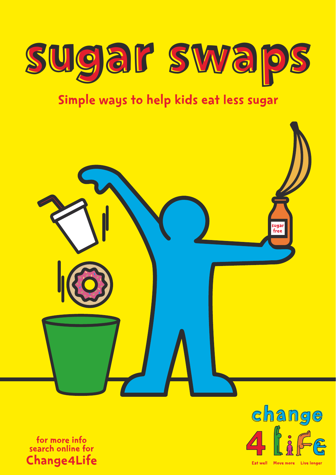

# Simple ways to help kids eat less sugar







Eat well Move more Live longer